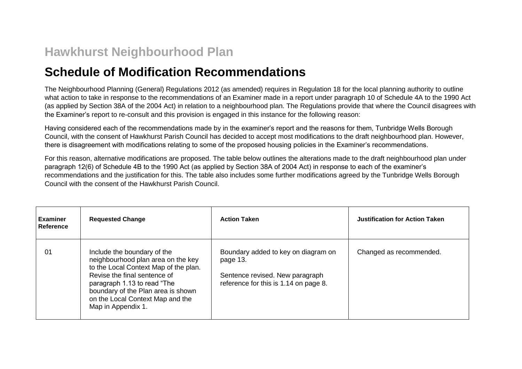## **Hawkhurst Neighbourhood Plan**

## **Schedule of Modification Recommendations**

The Neighbourhood Planning (General) Regulations 2012 (as amended) requires in Regulation 18 for the local planning authority to outline what action to take in response to the recommendations of an Examiner made in a report under paragraph 10 of Schedule 4A to the 1990 Act (as applied by Section 38A of the 2004 Act) in relation to a neighbourhood plan. The Regulations provide that where the Council disagrees with the Examiner's report to re-consult and this provision is engaged in this instance for the following reason:

Having considered each of the recommendations made by in the examiner's report and the reasons for them, Tunbridge Wells Borough Council, with the consent of Hawkhurst Parish Council has decided to accept most modifications to the draft neighbourhood plan. However, there is disagreement with modifications relating to some of the proposed housing policies in the Examiner's recommendations.

For this reason, alternative modifications are proposed. The table below outlines the alterations made to the draft neighbourhood plan under paragraph 12(6) of Schedule 4B to the 1990 Act (as applied by Section 38A of 2004 Act) in response to each of the examiner's recommendations and the justification for this. The table also includes some further modifications agreed by the Tunbridge Wells Borough Council with the consent of the Hawkhurst Parish Council.

| <b>Examiner</b><br>Reference | <b>Requested Change</b>                                                                                                                                                                                                                                                   | <b>Action Taken</b>                                                                                                         | <b>Justification for Action Taken</b> |
|------------------------------|---------------------------------------------------------------------------------------------------------------------------------------------------------------------------------------------------------------------------------------------------------------------------|-----------------------------------------------------------------------------------------------------------------------------|---------------------------------------|
| 01                           | Include the boundary of the<br>neighbourhood plan area on the key<br>to the Local Context Map of the plan.<br>Revise the final sentence of<br>paragraph 1.13 to read "The<br>boundary of the Plan area is shown<br>on the Local Context Map and the<br>Map in Appendix 1. | Boundary added to key on diagram on<br>page 13.<br>Sentence revised. New paragraph<br>reference for this is 1.14 on page 8. | Changed as recommended.               |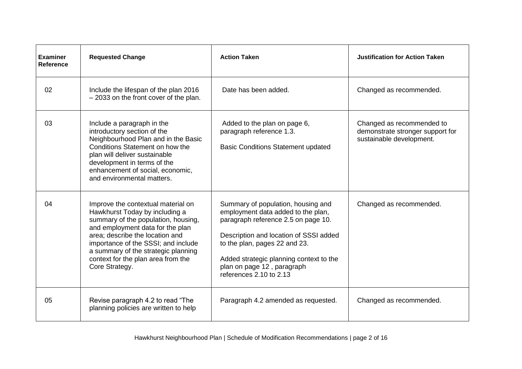| <b>Examiner</b><br><b>Reference</b> | <b>Requested Change</b>                                                                                                                                                                                                                                                                                                  | <b>Action Taken</b>                                                                                                                                                                                                                                                                            | <b>Justification for Action Taken</b>                                                     |
|-------------------------------------|--------------------------------------------------------------------------------------------------------------------------------------------------------------------------------------------------------------------------------------------------------------------------------------------------------------------------|------------------------------------------------------------------------------------------------------------------------------------------------------------------------------------------------------------------------------------------------------------------------------------------------|-------------------------------------------------------------------------------------------|
| 02                                  | Include the lifespan of the plan 2016<br>- 2033 on the front cover of the plan.                                                                                                                                                                                                                                          | Date has been added.                                                                                                                                                                                                                                                                           | Changed as recommended.                                                                   |
| 03                                  | Include a paragraph in the<br>introductory section of the<br>Neighbourhood Plan and in the Basic<br>Conditions Statement on how the<br>plan will deliver sustainable<br>development in terms of the<br>enhancement of social, economic,<br>and environmental matters.                                                    | Added to the plan on page 6,<br>paragraph reference 1.3.<br><b>Basic Conditions Statement updated</b>                                                                                                                                                                                          | Changed as recommended to<br>demonstrate stronger support for<br>sustainable development. |
| 04                                  | Improve the contextual material on<br>Hawkhurst Today by including a<br>summary of the population, housing,<br>and employment data for the plan<br>area; describe the location and<br>importance of the SSSI; and include<br>a summary of the strategic planning<br>context for the plan area from the<br>Core Strategy. | Summary of population, housing and<br>employment data added to the plan,<br>paragraph reference 2.5 on page 10.<br>Description and location of SSSI added<br>to the plan, pages 22 and 23.<br>Added strategic planning context to the<br>plan on page 12, paragraph<br>references 2.10 to 2.13 | Changed as recommended.                                                                   |
| 05                                  | Revise paragraph 4.2 to read "The<br>planning policies are written to help                                                                                                                                                                                                                                               | Paragraph 4.2 amended as requested.                                                                                                                                                                                                                                                            | Changed as recommended.                                                                   |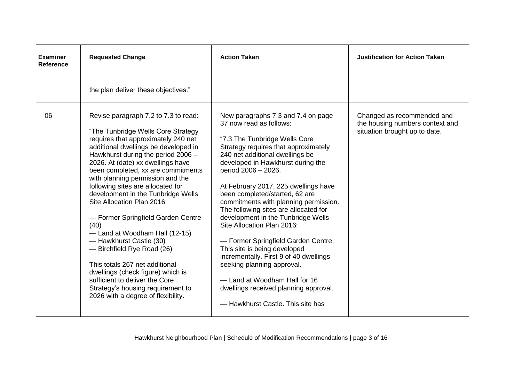| <b>Examiner</b><br><b>Reference</b> | <b>Requested Change</b>                                                                                                                                                                                                                                                                                                                                                                                                                                                                                                                                                                                                                                                                                                                             | <b>Action Taken</b>                                                                                                                                                                                                                                                                                                                                                                                                                                                                                                                                                                                                                                                                                                                | <b>Justification for Action Taken</b>                                                          |
|-------------------------------------|-----------------------------------------------------------------------------------------------------------------------------------------------------------------------------------------------------------------------------------------------------------------------------------------------------------------------------------------------------------------------------------------------------------------------------------------------------------------------------------------------------------------------------------------------------------------------------------------------------------------------------------------------------------------------------------------------------------------------------------------------------|------------------------------------------------------------------------------------------------------------------------------------------------------------------------------------------------------------------------------------------------------------------------------------------------------------------------------------------------------------------------------------------------------------------------------------------------------------------------------------------------------------------------------------------------------------------------------------------------------------------------------------------------------------------------------------------------------------------------------------|------------------------------------------------------------------------------------------------|
|                                     | the plan deliver these objectives."                                                                                                                                                                                                                                                                                                                                                                                                                                                                                                                                                                                                                                                                                                                 |                                                                                                                                                                                                                                                                                                                                                                                                                                                                                                                                                                                                                                                                                                                                    |                                                                                                |
| 06                                  | Revise paragraph 7.2 to 7.3 to read:<br>"The Tunbridge Wells Core Strategy<br>requires that approximately 240 net<br>additional dwellings be developed in<br>Hawkhurst during the period 2006 -<br>2026. At (date) xx dwellings have<br>been completed, xx are commitments<br>with planning permission and the<br>following sites are allocated for<br>development in the Tunbridge Wells<br>Site Allocation Plan 2016:<br>- Former Springfield Garden Centre<br>(40)<br>-Land at Woodham Hall (12-15)<br>- Hawkhurst Castle (30)<br>- Birchfield Rye Road (26)<br>This totals 267 net additional<br>dwellings (check figure) which is<br>sufficient to deliver the Core<br>Strategy's housing requirement to<br>2026 with a degree of flexibility. | New paragraphs 7.3 and 7.4 on page<br>37 now read as follows:<br>"7.3 The Tunbridge Wells Core<br>Strategy requires that approximately<br>240 net additional dwellings be<br>developed in Hawkhurst during the<br>period 2006 - 2026.<br>At February 2017, 225 dwellings have<br>been completed/started, 62 are<br>commitments with planning permission.<br>The following sites are allocated for<br>development in the Tunbridge Wells<br>Site Allocation Plan 2016:<br>- Former Springfield Garden Centre.<br>This site is being developed<br>incrementally. First 9 of 40 dwellings<br>seeking planning approval.<br>-Land at Woodham Hall for 16<br>dwellings received planning approval.<br>- Hawkhurst Castle, This site has | Changed as recommended and<br>the housing numbers context and<br>situation brought up to date. |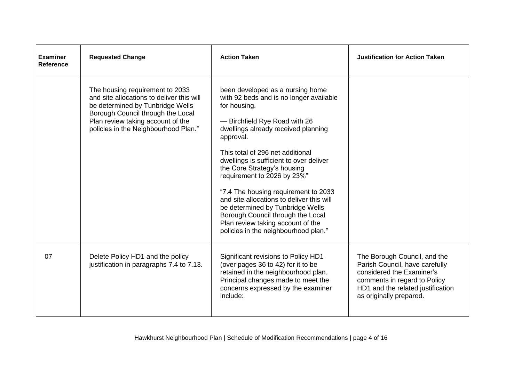| <b>Examiner</b><br><b>Reference</b> | <b>Requested Change</b>                                                                                                                                                                                                            | <b>Action Taken</b>                                                                                                                                                                                                                                                                                                                                                                                                                                                                                                                                                      | <b>Justification for Action Taken</b>                                                                                                                                                       |
|-------------------------------------|------------------------------------------------------------------------------------------------------------------------------------------------------------------------------------------------------------------------------------|--------------------------------------------------------------------------------------------------------------------------------------------------------------------------------------------------------------------------------------------------------------------------------------------------------------------------------------------------------------------------------------------------------------------------------------------------------------------------------------------------------------------------------------------------------------------------|---------------------------------------------------------------------------------------------------------------------------------------------------------------------------------------------|
|                                     | The housing requirement to 2033<br>and site allocations to deliver this will<br>be determined by Tunbridge Wells<br>Borough Council through the Local<br>Plan review taking account of the<br>policies in the Neighbourhood Plan." | been developed as a nursing home<br>with 92 beds and is no longer available<br>for housing.<br>- Birchfield Rye Road with 26<br>dwellings already received planning<br>approval.<br>This total of 296 net additional<br>dwellings is sufficient to over deliver<br>the Core Strategy's housing<br>requirement to 2026 by 23%"<br>"7.4 The housing requirement to 2033<br>and site allocations to deliver this will<br>be determined by Tunbridge Wells<br>Borough Council through the Local<br>Plan review taking account of the<br>policies in the neighbourhood plan." |                                                                                                                                                                                             |
| 07                                  | Delete Policy HD1 and the policy<br>justification in paragraphs 7.4 to 7.13.                                                                                                                                                       | Significant revisions to Policy HD1<br>(over pages 36 to 42) for it to be<br>retained in the neighbourhood plan.<br>Principal changes made to meet the<br>concerns expressed by the examiner<br>include:                                                                                                                                                                                                                                                                                                                                                                 | The Borough Council, and the<br>Parish Council, have carefully<br>considered the Examiner's<br>comments in regard to Policy<br>HD1 and the related justification<br>as originally prepared. |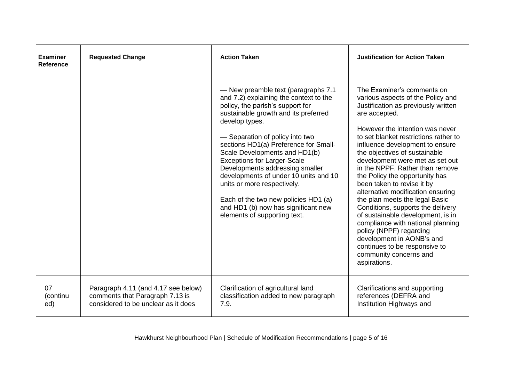| <b>Examiner</b><br>Reference | <b>Requested Change</b>                                                                                       | <b>Action Taken</b>                                                                                                                                                                                                                                                                                                                                                                                                                                                                                                                                      | <b>Justification for Action Taken</b>                                                                                                                                                                                                                                                                                                                                                                                                                                                                                                                                                                                                                                                                                                  |
|------------------------------|---------------------------------------------------------------------------------------------------------------|----------------------------------------------------------------------------------------------------------------------------------------------------------------------------------------------------------------------------------------------------------------------------------------------------------------------------------------------------------------------------------------------------------------------------------------------------------------------------------------------------------------------------------------------------------|----------------------------------------------------------------------------------------------------------------------------------------------------------------------------------------------------------------------------------------------------------------------------------------------------------------------------------------------------------------------------------------------------------------------------------------------------------------------------------------------------------------------------------------------------------------------------------------------------------------------------------------------------------------------------------------------------------------------------------------|
|                              |                                                                                                               | - New preamble text (paragraphs 7.1<br>and 7.2) explaining the context to the<br>policy, the parish's support for<br>sustainable growth and its preferred<br>develop types.<br>- Separation of policy into two<br>sections HD1(a) Preference for Small-<br>Scale Developments and HD1(b)<br><b>Exceptions for Larger-Scale</b><br>Developments addressing smaller<br>developments of under 10 units and 10<br>units or more respectively.<br>Each of the two new policies HD1 (a)<br>and HD1 (b) now has significant new<br>elements of supporting text. | The Examiner's comments on<br>various aspects of the Policy and<br>Justification as previously written<br>are accepted.<br>However the intention was never<br>to set blanket restrictions rather to<br>influence development to ensure<br>the objectives of sustainable<br>development were met as set out<br>in the NPPF. Rather than remove<br>the Policy the opportunity has<br>been taken to revise it by<br>alternative modification ensuring<br>the plan meets the legal Basic<br>Conditions, supports the delivery<br>of sustainable development, is in<br>compliance with national planning<br>policy (NPPF) regarding<br>development in AONB's and<br>continues to be responsive to<br>community concerns and<br>aspirations. |
| 07<br>(continu<br>ed)        | Paragraph 4.11 (and 4.17 see below)<br>comments that Paragraph 7.13 is<br>considered to be unclear as it does | Clarification of agricultural land<br>classification added to new paragraph<br>7.9.                                                                                                                                                                                                                                                                                                                                                                                                                                                                      | Clarifications and supporting<br>references (DEFRA and<br>Institution Highways and                                                                                                                                                                                                                                                                                                                                                                                                                                                                                                                                                                                                                                                     |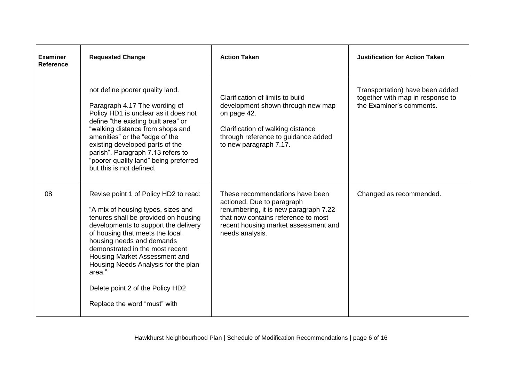| <b>Examiner</b><br>Reference | <b>Requested Change</b>                                                                                                                                                                                                                                                                                                                                                                                              | <b>Action Taken</b>                                                                                                                                                                                      | <b>Justification for Action Taken</b>                                                           |
|------------------------------|----------------------------------------------------------------------------------------------------------------------------------------------------------------------------------------------------------------------------------------------------------------------------------------------------------------------------------------------------------------------------------------------------------------------|----------------------------------------------------------------------------------------------------------------------------------------------------------------------------------------------------------|-------------------------------------------------------------------------------------------------|
|                              | not define poorer quality land.<br>Paragraph 4.17 The wording of<br>Policy HD1 is unclear as it does not<br>define "the existing built area" or<br>"walking distance from shops and<br>amenities" or the "edge of the<br>existing developed parts of the<br>parish". Paragraph 7.13 refers to<br>"poorer quality land" being preferred<br>but this is not defined.                                                   | Clarification of limits to build<br>development shown through new map<br>on page 42.<br>Clarification of walking distance<br>through reference to guidance added<br>to new paragraph 7.17.               | Transportation) have been added<br>together with map in response to<br>the Examiner's comments. |
| 08                           | Revise point 1 of Policy HD2 to read:<br>"A mix of housing types, sizes and<br>tenures shall be provided on housing<br>developments to support the delivery<br>of housing that meets the local<br>housing needs and demands<br>demonstrated in the most recent<br>Housing Market Assessment and<br>Housing Needs Analysis for the plan<br>area."<br>Delete point 2 of the Policy HD2<br>Replace the word "must" with | These recommendations have been<br>actioned. Due to paragraph<br>renumbering, it is new paragraph 7.22<br>that now contains reference to most<br>recent housing market assessment and<br>needs analysis. | Changed as recommended.                                                                         |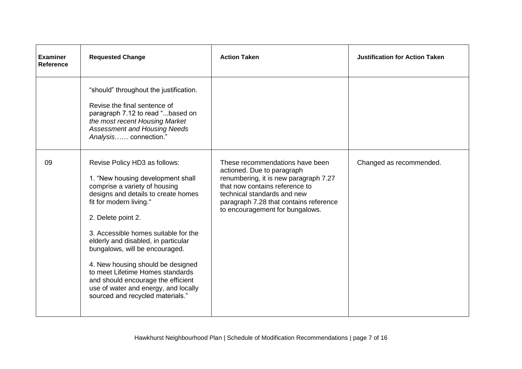| <b>Examiner</b><br><b>Reference</b> | <b>Requested Change</b>                                                                                                                                                                                                                                                                                                                                                                                                                                                                                 | <b>Action Taken</b>                                                                                                                                                                                                                                  | <b>Justification for Action Taken</b> |
|-------------------------------------|---------------------------------------------------------------------------------------------------------------------------------------------------------------------------------------------------------------------------------------------------------------------------------------------------------------------------------------------------------------------------------------------------------------------------------------------------------------------------------------------------------|------------------------------------------------------------------------------------------------------------------------------------------------------------------------------------------------------------------------------------------------------|---------------------------------------|
|                                     | "should" throughout the justification.<br>Revise the final sentence of<br>paragraph 7.12 to read "based on<br>the most recent Housing Market<br><b>Assessment and Housing Needs</b><br>Analysis connection."                                                                                                                                                                                                                                                                                            |                                                                                                                                                                                                                                                      |                                       |
| 09                                  | Revise Policy HD3 as follows:<br>1. "New housing development shall<br>comprise a variety of housing<br>designs and details to create homes<br>fit for modern living."<br>2. Delete point 2.<br>3. Accessible homes suitable for the<br>elderly and disabled, in particular<br>bungalows, will be encouraged.<br>4. New housing should be designed<br>to meet Lifetime Homes standards<br>and should encourage the efficient<br>use of water and energy, and locally<br>sourced and recycled materials." | These recommendations have been<br>actioned. Due to paragraph<br>renumbering, it is new paragraph 7.27<br>that now contains reference to<br>technical standards and new<br>paragraph 7.28 that contains reference<br>to encouragement for bungalows. | Changed as recommended.               |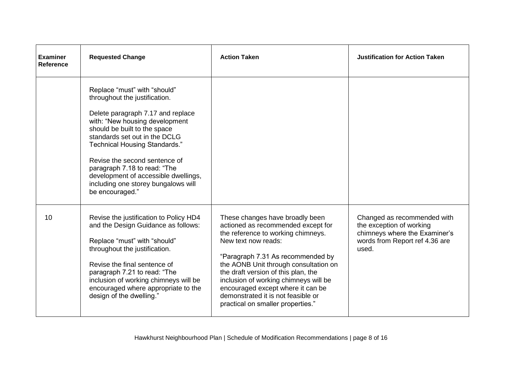| <b>Examiner</b><br><b>Reference</b> | <b>Requested Change</b>                                                                                                                                                                                                                                                                                                                                                                                          | <b>Action Taken</b>                                                                                                                                                                                                                                                                                                                                                                                              | <b>Justification for Action Taken</b>                                                                                               |
|-------------------------------------|------------------------------------------------------------------------------------------------------------------------------------------------------------------------------------------------------------------------------------------------------------------------------------------------------------------------------------------------------------------------------------------------------------------|------------------------------------------------------------------------------------------------------------------------------------------------------------------------------------------------------------------------------------------------------------------------------------------------------------------------------------------------------------------------------------------------------------------|-------------------------------------------------------------------------------------------------------------------------------------|
|                                     | Replace "must" with "should"<br>throughout the justification.<br>Delete paragraph 7.17 and replace<br>with: "New housing development<br>should be built to the space<br>standards set out in the DCLG<br><b>Technical Housing Standards."</b><br>Revise the second sentence of<br>paragraph 7.18 to read: "The<br>development of accessible dwellings,<br>including one storey bungalows will<br>be encouraged." |                                                                                                                                                                                                                                                                                                                                                                                                                  |                                                                                                                                     |
| 10                                  | Revise the justification to Policy HD4<br>and the Design Guidance as follows:<br>Replace "must" with "should"<br>throughout the justification.<br>Revise the final sentence of<br>paragraph 7.21 to read: "The<br>inclusion of working chimneys will be<br>encouraged where appropriate to the<br>design of the dwelling."                                                                                       | These changes have broadly been<br>actioned as recommended except for<br>the reference to working chimneys.<br>New text now reads:<br>"Paragraph 7.31 As recommended by<br>the AONB Unit through consultation on<br>the draft version of this plan, the<br>inclusion of working chimneys will be<br>encouraged except where it can be<br>demonstrated it is not feasible or<br>practical on smaller properties." | Changed as recommended with<br>the exception of working<br>chimneys where the Examiner's<br>words from Report ref 4.36 are<br>used. |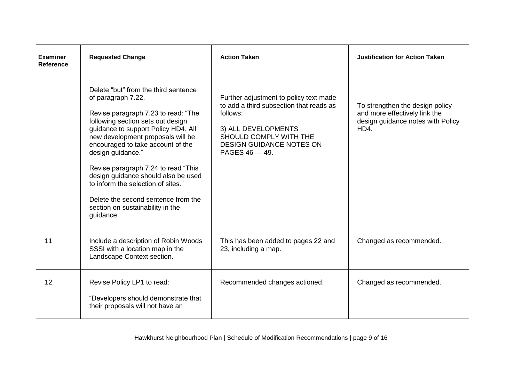| <b>Examiner</b><br>Reference | <b>Requested Change</b>                                                                                                                                                                                                                                                                                                                                                                                                                                                                   | <b>Action Taken</b>                                                                                                                                                                                 | <b>Justification for Action Taken</b>                                                                         |
|------------------------------|-------------------------------------------------------------------------------------------------------------------------------------------------------------------------------------------------------------------------------------------------------------------------------------------------------------------------------------------------------------------------------------------------------------------------------------------------------------------------------------------|-----------------------------------------------------------------------------------------------------------------------------------------------------------------------------------------------------|---------------------------------------------------------------------------------------------------------------|
|                              | Delete "but" from the third sentence<br>of paragraph 7.22.<br>Revise paragraph 7.23 to read: "The<br>following section sets out design<br>guidance to support Policy HD4. All<br>new development proposals will be<br>encouraged to take account of the<br>design guidance."<br>Revise paragraph 7.24 to read "This"<br>design guidance should also be used<br>to inform the selection of sites."<br>Delete the second sentence from the<br>section on sustainability in the<br>guidance. | Further adjustment to policy text made<br>to add a third subsection that reads as<br>follows:<br>3) ALL DEVELOPMENTS<br>SHOULD COMPLY WITH THE<br><b>DESIGN GUIDANCE NOTES ON</b><br>PAGES 46 - 49. | To strengthen the design policy<br>and more effectively link the<br>design guidance notes with Policy<br>HD4. |
| 11                           | Include a description of Robin Woods<br>SSSI with a location map in the<br>Landscape Context section.                                                                                                                                                                                                                                                                                                                                                                                     | This has been added to pages 22 and<br>23, including a map.                                                                                                                                         | Changed as recommended.                                                                                       |
| 12                           | Revise Policy LP1 to read:<br>"Developers should demonstrate that<br>their proposals will not have an                                                                                                                                                                                                                                                                                                                                                                                     | Recommended changes actioned.                                                                                                                                                                       | Changed as recommended.                                                                                       |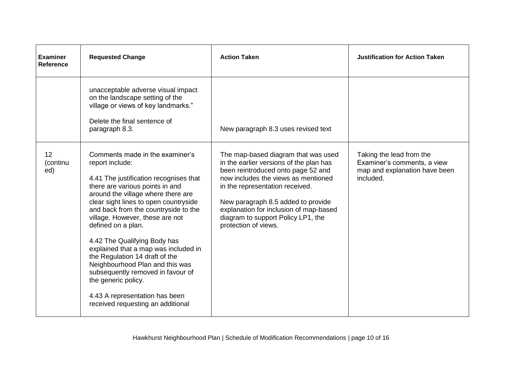| <b>Examiner</b><br><b>Reference</b> | <b>Requested Change</b>                                                                                                                                                                                                                                                                                                                                                                                                                                                                                                                                                                         | <b>Action Taken</b>                                                                                                                                                                                                                                                                                                                          | <b>Justification for Action Taken</b>                                                                 |
|-------------------------------------|-------------------------------------------------------------------------------------------------------------------------------------------------------------------------------------------------------------------------------------------------------------------------------------------------------------------------------------------------------------------------------------------------------------------------------------------------------------------------------------------------------------------------------------------------------------------------------------------------|----------------------------------------------------------------------------------------------------------------------------------------------------------------------------------------------------------------------------------------------------------------------------------------------------------------------------------------------|-------------------------------------------------------------------------------------------------------|
|                                     | unacceptable adverse visual impact<br>on the landscape setting of the<br>village or views of key landmarks."<br>Delete the final sentence of<br>paragraph 8.3.                                                                                                                                                                                                                                                                                                                                                                                                                                  | New paragraph 8.3 uses revised text                                                                                                                                                                                                                                                                                                          |                                                                                                       |
| 12 <sup>2</sup><br>(continu<br>ed)  | Comments made in the examiner's<br>report include:<br>4.41 The justification recognises that<br>there are various points in and<br>around the village where there are<br>clear sight lines to open countryside<br>and back from the countryside to the<br>village. However, these are not<br>defined on a plan.<br>4.42 The Qualifying Body has<br>explained that a map was included in<br>the Regulation 14 draft of the<br>Neighbourhood Plan and this was<br>subsequently removed in favour of<br>the generic policy.<br>4.43 A representation has been<br>received requesting an additional | The map-based diagram that was used<br>in the earlier versions of the plan has<br>been reintroduced onto page 52 and<br>now includes the views as mentioned<br>in the representation received.<br>New paragraph 8.5 added to provide<br>explanation for inclusion of map-based<br>diagram to support Policy LP1, the<br>protection of views. | Taking the lead from the<br>Examiner's comments, a view<br>map and explanation have been<br>included. |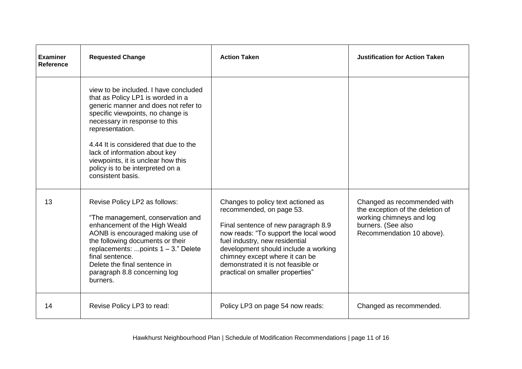| <b>Examiner</b><br><b>Reference</b> | <b>Requested Change</b>                                                                                                                                                                                                                                                                                                                                                              | <b>Action Taken</b>                                                                                                                                                                                                                                                                                                                  | <b>Justification for Action Taken</b>                                                                                                          |
|-------------------------------------|--------------------------------------------------------------------------------------------------------------------------------------------------------------------------------------------------------------------------------------------------------------------------------------------------------------------------------------------------------------------------------------|--------------------------------------------------------------------------------------------------------------------------------------------------------------------------------------------------------------------------------------------------------------------------------------------------------------------------------------|------------------------------------------------------------------------------------------------------------------------------------------------|
|                                     | view to be included. I have concluded<br>that as Policy LP1 is worded in a<br>generic manner and does not refer to<br>specific viewpoints, no change is<br>necessary in response to this<br>representation.<br>4.44 It is considered that due to the<br>lack of information about key<br>viewpoints, it is unclear how this<br>policy is to be interpreted on a<br>consistent basis. |                                                                                                                                                                                                                                                                                                                                      |                                                                                                                                                |
| 13                                  | Revise Policy LP2 as follows:<br>"The management, conservation and<br>enhancement of the High Weald<br>AONB is encouraged making use of<br>the following documents or their<br>replacements:  points $1 - 3$ ." Delete<br>final sentence.<br>Delete the final sentence in<br>paragraph 8.8 concerning log<br>burners.                                                                | Changes to policy text actioned as<br>recommended, on page 53.<br>Final sentence of new paragraph 8.9<br>now reads: "To support the local wood<br>fuel industry, new residential<br>development should include a working<br>chimney except where it can be<br>demonstrated it is not feasible or<br>practical on smaller properties" | Changed as recommended with<br>the exception of the deletion of<br>working chimneys and log<br>burners. (See also<br>Recommendation 10 above). |
| 14                                  | Revise Policy LP3 to read:                                                                                                                                                                                                                                                                                                                                                           | Policy LP3 on page 54 now reads:                                                                                                                                                                                                                                                                                                     | Changed as recommended.                                                                                                                        |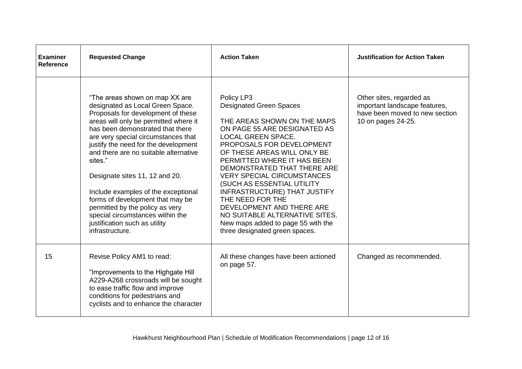| <b>Examiner</b><br>Reference | <b>Requested Change</b>                                                                                                                                                                                                                                                                                                                                                                                                                                                                                                                                          | <b>Action Taken</b>                                                                                                                                                                                                                                                                                                                                                                                                                                                                                                              | <b>Justification for Action Taken</b>                                                                             |
|------------------------------|------------------------------------------------------------------------------------------------------------------------------------------------------------------------------------------------------------------------------------------------------------------------------------------------------------------------------------------------------------------------------------------------------------------------------------------------------------------------------------------------------------------------------------------------------------------|----------------------------------------------------------------------------------------------------------------------------------------------------------------------------------------------------------------------------------------------------------------------------------------------------------------------------------------------------------------------------------------------------------------------------------------------------------------------------------------------------------------------------------|-------------------------------------------------------------------------------------------------------------------|
|                              | "The areas shown on map XX are<br>designated as Local Green Space.<br>Proposals for development of these<br>areas will only be permitted where it<br>has been demonstrated that there<br>are very special circumstances that<br>justify the need for the development<br>and there are no suitable alternative<br>sites."<br>Designate sites 11, 12 and 20.<br>Include examples of the exceptional<br>forms of development that may be<br>permitted by the policy as very<br>special circumstances within the<br>justification such as utility<br>infrastructure. | Policy LP3<br><b>Designated Green Spaces</b><br>THE AREAS SHOWN ON THE MAPS<br>ON PAGE 55 ARE DESIGNATED AS<br><b>LOCAL GREEN SPACE.</b><br>PROPOSALS FOR DEVELOPMENT<br>OF THESE AREAS WILL ONLY BE<br>PERMITTED WHERE IT HAS BEEN<br>DEMONSTRATED THAT THERE ARE<br><b>VERY SPECIAL CIRCUMSTANCES</b><br>(SUCH AS ESSENTIAL UTILITY<br>INFRASTRUCTURE) THAT JUSTIFY<br>THE NEED FOR THE<br>DEVELOPMENT AND THERE ARE<br>NO SUITABLE ALTERNATIVE SITES.<br>New maps added to page 55 with the<br>three designated green spaces. | Other sites, regarded as<br>important landscape features,<br>have been moved to new section<br>10 on pages 24-25. |
| 15                           | Revise Policy AM1 to read:<br>"Improvements to the Highgate Hill<br>A229-A268 crossroads will be sought<br>to ease traffic flow and improve<br>conditions for pedestrians and<br>cyclists and to enhance the character                                                                                                                                                                                                                                                                                                                                           | All these changes have been actioned<br>on page 57.                                                                                                                                                                                                                                                                                                                                                                                                                                                                              | Changed as recommended.                                                                                           |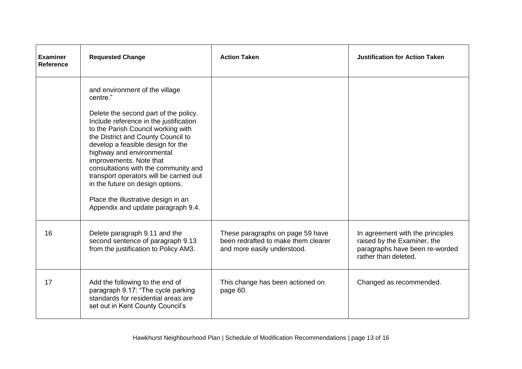| <b>Examiner</b><br><b>Reference</b> | <b>Requested Change</b>                                                                                                                                                                                                                                                                                                                                                                                                                                                                                    | <b>Action Taken</b>                                                                                    | <b>Justification for Action Taken</b>                                                                                     |
|-------------------------------------|------------------------------------------------------------------------------------------------------------------------------------------------------------------------------------------------------------------------------------------------------------------------------------------------------------------------------------------------------------------------------------------------------------------------------------------------------------------------------------------------------------|--------------------------------------------------------------------------------------------------------|---------------------------------------------------------------------------------------------------------------------------|
|                                     | and environment of the village<br>centre."<br>Delete the second part of the policy.<br>Include reference in the justification<br>to the Parish Council working with<br>the District and County Council to<br>develop a feasible design for the<br>highway and environmental<br>improvements. Note that<br>consultations with the community and<br>transport operators will be carried out<br>in the future on design options.<br>Place the illustrative design in an<br>Appendix and update paragraph 9.4. |                                                                                                        |                                                                                                                           |
| 16                                  | Delete paragraph 9.11 and the<br>second sentence of paragraph 9.13<br>from the justification to Policy AM3.                                                                                                                                                                                                                                                                                                                                                                                                | These paragraphs on page 59 have<br>been redrafted to make them clearer<br>and more easily understood. | In agreement with the principles<br>raised by the Examiner, the<br>paragraphs have been re-worded<br>rather than deleted. |
| 17                                  | Add the following to the end of<br>paragraph 9.17: "The cycle parking<br>standards for residential areas are<br>set out in Kent County Council's                                                                                                                                                                                                                                                                                                                                                           | This change has been actioned on<br>page 60.                                                           | Changed as recommended.                                                                                                   |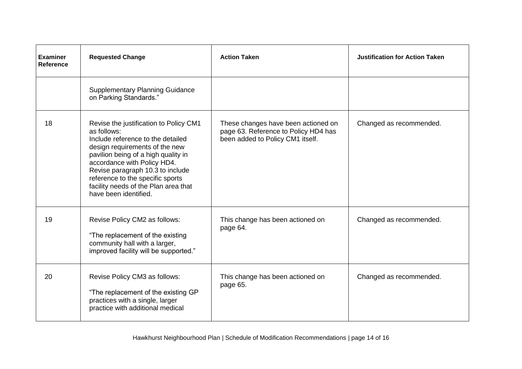| <b>Examiner</b><br><b>Reference</b> | <b>Requested Change</b>                                                                                                                                                                                                                                                                                                                     | <b>Action Taken</b>                                                                                             | <b>Justification for Action Taken</b> |
|-------------------------------------|---------------------------------------------------------------------------------------------------------------------------------------------------------------------------------------------------------------------------------------------------------------------------------------------------------------------------------------------|-----------------------------------------------------------------------------------------------------------------|---------------------------------------|
|                                     | <b>Supplementary Planning Guidance</b><br>on Parking Standards."                                                                                                                                                                                                                                                                            |                                                                                                                 |                                       |
| 18                                  | Revise the justification to Policy CM1<br>as follows:<br>Include reference to the detailed<br>design requirements of the new<br>pavilion being of a high quality in<br>accordance with Policy HD4.<br>Revise paragraph 10.3 to include<br>reference to the specific sports<br>facility needs of the Plan area that<br>have been identified. | These changes have been actioned on<br>page 63. Reference to Policy HD4 has<br>been added to Policy CM1 itself. | Changed as recommended.               |
| 19                                  | Revise Policy CM2 as follows:<br>"The replacement of the existing<br>community hall with a larger,<br>improved facility will be supported."                                                                                                                                                                                                 | This change has been actioned on<br>page 64.                                                                    | Changed as recommended.               |
| 20                                  | Revise Policy CM3 as follows:<br>"The replacement of the existing GP<br>practices with a single, larger<br>practice with additional medical                                                                                                                                                                                                 | This change has been actioned on<br>page 65.                                                                    | Changed as recommended.               |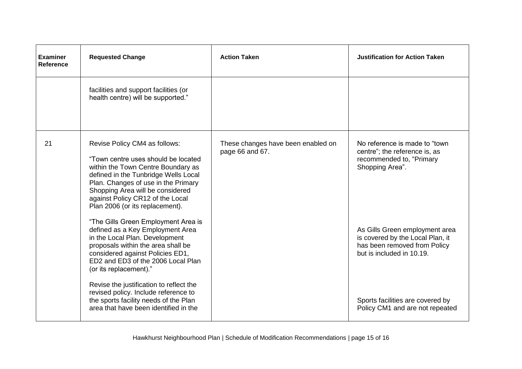| <b>Examiner</b><br>Reference | <b>Requested Change</b>                                                                                                                                                                                                                                                                              | <b>Action Taken</b>                                   | <b>Justification for Action Taken</b>                                                                                           |
|------------------------------|------------------------------------------------------------------------------------------------------------------------------------------------------------------------------------------------------------------------------------------------------------------------------------------------------|-------------------------------------------------------|---------------------------------------------------------------------------------------------------------------------------------|
|                              | facilities and support facilities (or<br>health centre) will be supported."                                                                                                                                                                                                                          |                                                       |                                                                                                                                 |
| 21                           | Revise Policy CM4 as follows:<br>"Town centre uses should be located<br>within the Town Centre Boundary as<br>defined in the Tunbridge Wells Local<br>Plan. Changes of use in the Primary<br>Shopping Area will be considered<br>against Policy CR12 of the Local<br>Plan 2006 (or its replacement). | These changes have been enabled on<br>page 66 and 67. | No reference is made to "town"<br>centre"; the reference is, as<br>recommended to, "Primary<br>Shopping Area".                  |
|                              | "The Gills Green Employment Area is<br>defined as a Key Employment Area<br>in the Local Plan. Development<br>proposals within the area shall be<br>considered against Policies ED1,<br>ED2 and ED3 of the 2006 Local Plan<br>(or its replacement)."                                                  |                                                       | As Gills Green employment area<br>is covered by the Local Plan, it<br>has been removed from Policy<br>but is included in 10.19. |
|                              | Revise the justification to reflect the<br>revised policy. Include reference to<br>the sports facility needs of the Plan<br>area that have been identified in the                                                                                                                                    |                                                       | Sports facilities are covered by<br>Policy CM1 and are not repeated                                                             |